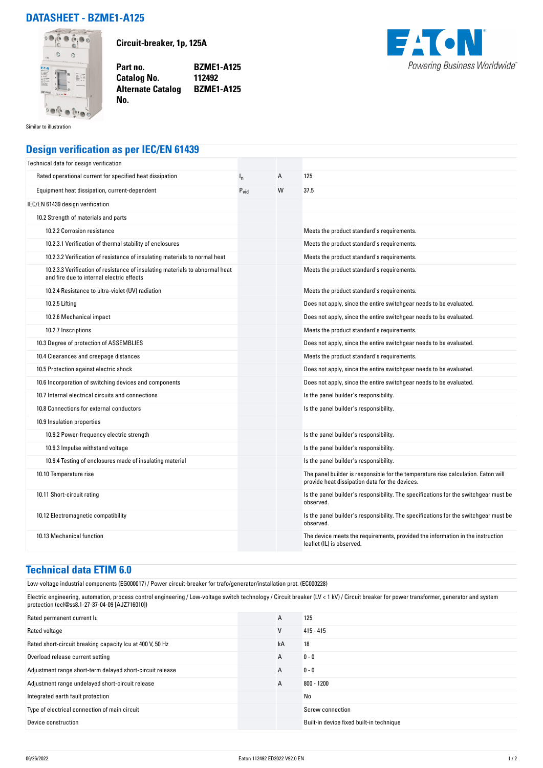## **DATASHEET - BZME1-A125**



**Circuit-breaker, 1p, 125A**

**Part no. BZME1-A125 Catalog No. Alternate Catalog BZME1-A125**



Similar to illustration

## **Design verification as per IEC/EN 61439**

**No.** 

| Technical data for design verification                                                                                    |                  |   |                                                                                                                                     |
|---------------------------------------------------------------------------------------------------------------------------|------------------|---|-------------------------------------------------------------------------------------------------------------------------------------|
| Rated operational current for specified heat dissipation                                                                  | ı,               | А | 125                                                                                                                                 |
| Equipment heat dissipation, current-dependent                                                                             | $P_{\text{vid}}$ | W | 37.5                                                                                                                                |
| IEC/EN 61439 design verification                                                                                          |                  |   |                                                                                                                                     |
| 10.2 Strength of materials and parts                                                                                      |                  |   |                                                                                                                                     |
| 10.2.2 Corrosion resistance                                                                                               |                  |   | Meets the product standard's requirements.                                                                                          |
| 10.2.3.1 Verification of thermal stability of enclosures                                                                  |                  |   | Meets the product standard's requirements.                                                                                          |
| 10.2.3.2 Verification of resistance of insulating materials to normal heat                                                |                  |   | Meets the product standard's requirements.                                                                                          |
| 10.2.3.3 Verification of resistance of insulating materials to abnormal heat<br>and fire due to internal electric effects |                  |   | Meets the product standard's requirements.                                                                                          |
| 10.2.4 Resistance to ultra-violet (UV) radiation                                                                          |                  |   | Meets the product standard's requirements.                                                                                          |
| 10.2.5 Lifting                                                                                                            |                  |   | Does not apply, since the entire switchgear needs to be evaluated.                                                                  |
| 10.2.6 Mechanical impact                                                                                                  |                  |   | Does not apply, since the entire switchgear needs to be evaluated.                                                                  |
| 10.2.7 Inscriptions                                                                                                       |                  |   | Meets the product standard's requirements.                                                                                          |
| 10.3 Degree of protection of ASSEMBLIES                                                                                   |                  |   | Does not apply, since the entire switchgear needs to be evaluated.                                                                  |
| 10.4 Clearances and creepage distances                                                                                    |                  |   | Meets the product standard's requirements.                                                                                          |
| 10.5 Protection against electric shock                                                                                    |                  |   | Does not apply, since the entire switchgear needs to be evaluated.                                                                  |
| 10.6 Incorporation of switching devices and components                                                                    |                  |   | Does not apply, since the entire switchgear needs to be evaluated.                                                                  |
| 10.7 Internal electrical circuits and connections                                                                         |                  |   | Is the panel builder's responsibility.                                                                                              |
| 10.8 Connections for external conductors                                                                                  |                  |   | Is the panel builder's responsibility.                                                                                              |
| 10.9 Insulation properties                                                                                                |                  |   |                                                                                                                                     |
| 10.9.2 Power-frequency electric strength                                                                                  |                  |   | Is the panel builder's responsibility.                                                                                              |
| 10.9.3 Impulse withstand voltage                                                                                          |                  |   | Is the panel builder's responsibility.                                                                                              |
| 10.9.4 Testing of enclosures made of insulating material                                                                  |                  |   | Is the panel builder's responsibility.                                                                                              |
| 10.10 Temperature rise                                                                                                    |                  |   | The panel builder is responsible for the temperature rise calculation. Eaton will<br>provide heat dissipation data for the devices. |
| 10.11 Short-circuit rating                                                                                                |                  |   | Is the panel builder's responsibility. The specifications for the switchgear must be<br>observed.                                   |
| 10.12 Electromagnetic compatibility                                                                                       |                  |   | Is the panel builder's responsibility. The specifications for the switchgear must be<br>observed.                                   |
| 10.13 Mechanical function                                                                                                 |                  |   | The device meets the requirements, provided the information in the instruction<br>leaflet (IL) is observed.                         |

## **Technical data ETIM 6.0**

Low-voltage industrial components (EG000017) / Power circuit-breaker for trafo/generator/installation prot. (EC000228)

Electric engineering, automation, process control engineering / Low-voltage switch technology / Circuit breaker (LV < 1 kV) / Circuit breaker for power transformer, generator and system protection (ecl@ss8.1-27-37-04-09 [AJZ716010])

| Rated permanent current lu                                | A  | 125                                      |
|-----------------------------------------------------------|----|------------------------------------------|
| Rated voltage                                             | v  | $415 - 415$                              |
| Rated short-circuit breaking capacity Icu at 400 V, 50 Hz | kA | 18                                       |
| Overload release current setting                          | A  | $0 - 0$                                  |
| Adjustment range short-term delayed short-circuit release | A  | $0 - 0$                                  |
| Adjustment range undelayed short-circuit release          | A  | $800 - 1200$                             |
| Integrated earth fault protection                         |    | No                                       |
| Type of electrical connection of main circuit             |    | Screw connection                         |
| Device construction                                       |    | Built-in device fixed built-in technique |